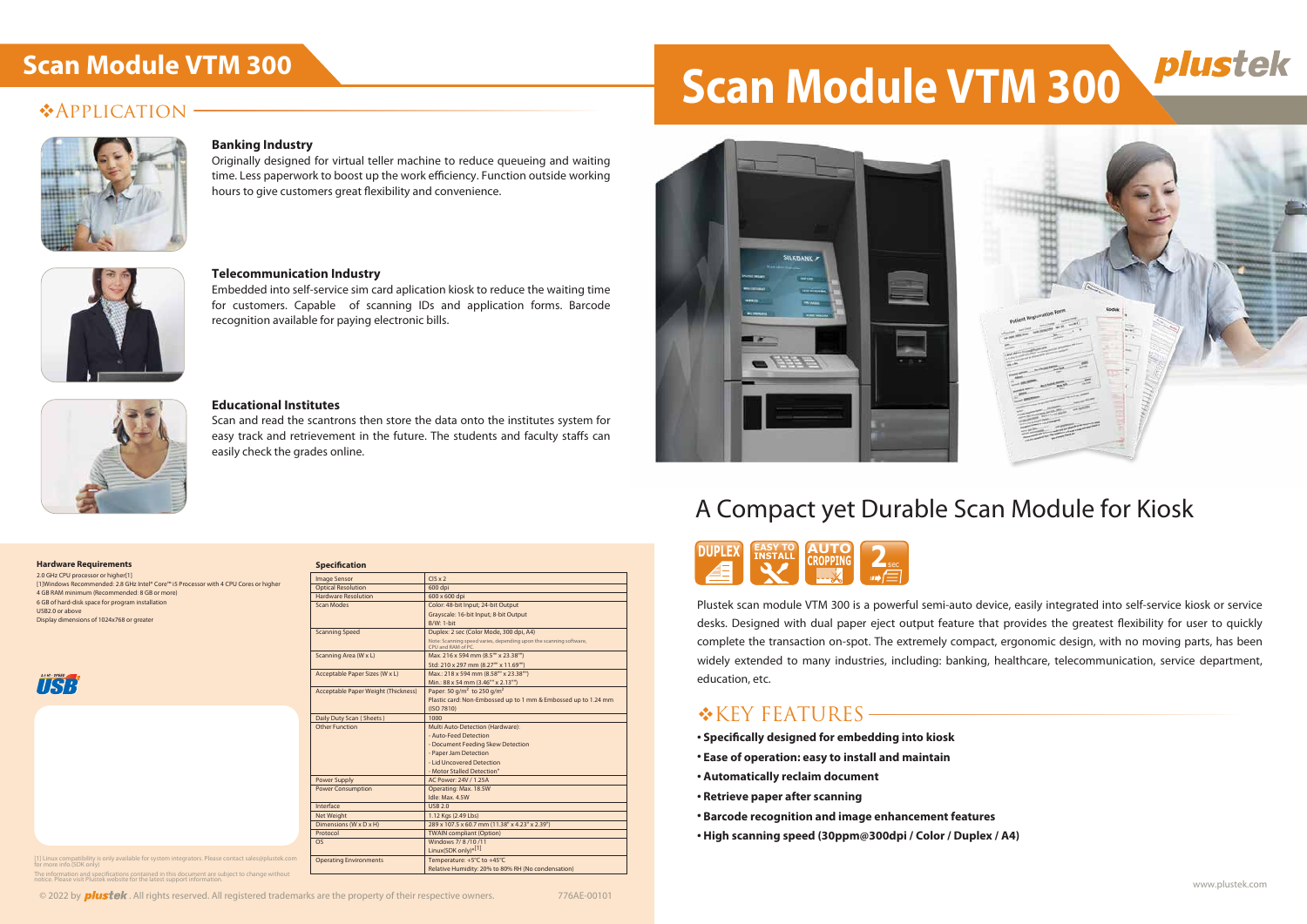## **\*APPLICATION**



#### **Banking Industry**

Originally designed for virtual teller machine to reduce queueing and waiting time. Less paperwork to boost up the work efficiency. Function outside working hours to give customers great flexibility and convenience.



#### **Telecommunication Industry**

Embedded into self-service sim card aplication kiosk to reduce the waiting time for customers. Capable of scanning IDs and application forms. Barcode recognition available for paying electronic bills.



#### **Educational Institutes**

Scan and read the scantrons then store the data onto the institutes system for easy track and retrievement in the future. The students and faculty staffs can easily check the grades online.

## A Compact yet Durable Scan Module for Kiosk

- **Specifically designed for embedding into kiosk**
- **Ease of operation: easy to install and maintain**
- **Automatically reclaim document**
- **Retrieve paper after scanning**
- **Barcode recognition and image enhancement features**
- **High scanning speed (30ppm@300dpi / Color / Duplex / A4)**



Plustek scan module VTM 300 is a powerful semi-auto device, easily integrated into self-service kiosk or service desks. Designed with dual paper eject output feature that provides the greatest flexibility for user to quickly complete the transaction on-spot. The extremely compact, ergonomic design, with no moving parts, has been widely extended to many industries, including: banking, healthcare, telecommunication, service department, education, etc.

## \*KEY FEATURES

| <b>Specification</b>                |                                                                                          |
|-------------------------------------|------------------------------------------------------------------------------------------|
| <b>Image Sensor</b>                 | $CIS \times 2$                                                                           |
| <b>Optical Resolution</b>           | 600 dpi                                                                                  |
| Hardware Resolution                 | 600 x 600 dpi                                                                            |
| Scan Modes                          | Color: 48-bit Input; 24-bit Output                                                       |
|                                     | Grayscale: 16-bit Input; 8-bit Output                                                    |
|                                     | B/W: 1-bit                                                                               |
| <b>Scanning Speed</b>               | Duplex: 2 sec (Color Mode, 300 dpi, A4)                                                  |
|                                     | Note: Scanning speed varies, depending upon the scanning software,<br>CPU and RAM of PC. |
| Scanning Area (W x L)               | Max. 216 x 594 mm (8.5"" x 23.38"")                                                      |
|                                     | Std: 210 x 297 mm (8.27"" x 11.69"")                                                     |
| Acceptable Paper Sizes (W x L)      | Max.: 218 x 594 mm (8.58"" x 23.38"")                                                    |
|                                     | Min.: 88 x 54 mm (3.46"" x 2.13"")                                                       |
| Acceptable Paper Weight (Thickness) | Paper: 50 g/m <sup>2</sup> to 250 g/m <sup>2</sup>                                       |
|                                     | Plastic card: Non-Embossed up to 1 mm & Embossed up to 1.24 mm                           |
|                                     | (ISO 7810)                                                                               |
| Daily Duty Scan (Sheets)            | 1000                                                                                     |
| <b>Other Function</b>               | Multi Auto-Detection (Hardware):                                                         |
|                                     | - Auto-Feed Detection                                                                    |
|                                     | - Document Feeding Skew Detection                                                        |
|                                     | - Paper Jam Detection                                                                    |
|                                     | - Lid Uncovered Detection                                                                |
|                                     | - Motor Stalled Detection"                                                               |
| <b>Power Supply</b>                 | AC Power: 24V / 1.25A                                                                    |
| <b>Power Consumption</b>            | Operating: Max. 18.5W                                                                    |
|                                     | Idle: Max. 4.5W                                                                          |
| Interface                           | <b>USB 2.0</b>                                                                           |
| Net Weight                          | 1.12 Kgs (2.49 Lbs)                                                                      |
| Dimensions (W x D x H)              | 289 x 107.5 x 60.7 mm (11.38" x 4.23" x 2.39")                                           |
| Protocol                            | <b>TWAIN compliant (Option)</b>                                                          |
| O <sub>S</sub>                      | Windows 7/8/10/11                                                                        |
|                                     | Linux(SDK only) <sup>*[1]</sup>                                                          |
| <b>Operating Environments</b>       | Temperature: +5°C to +45°C                                                               |
|                                     | Relative Humidity: 20% to 80% RH (No condensation)                                       |

[1] Linux compatibility is only available for system integrators. Please contact sales@plustek.com for more info.(SDK only) The information and specifications contained in this document are subject to change without notice. Please visit Plustek website for the latest support information.

#### $\circ$  2022 by **plustek**. All rights reserved. All registered trademarks are the property of their respective owners. 776AE-00101

# **Scan Module VTM 300 Scan Module VTM 300**



#### **Hardware Requirements**

2.0 GHz CPU processor or higher[1] [1]Windows Recommended: 2.8 GHz Intel® Core™ i5 Processor with 4 CPU Cores or higher 4 GB RAM minimum (Recommended: 8 GB or more) 6 GB of hard-disk space for program installation USB2.0 or above Display dimensions of 1024x768 or greater